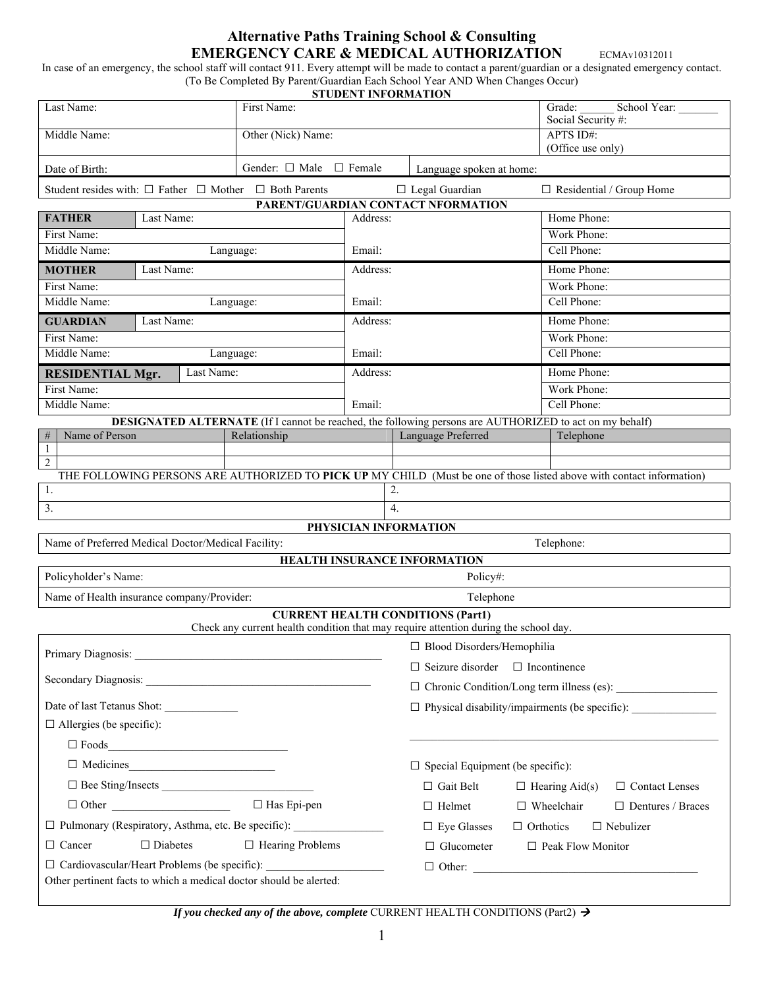## **Alternative Paths Training School & Consulting EMERGENCY CARE & MEDICAL AUTHORIZATION** ECMAVI0312011

In case of an emergency, the school staff will contact 911. Every attempt will be made to contact a parent/guardian or a designated emergency contact. (To Be Completed By Parent/Guardian Each School Year AND When Changes Occur)

|  |  | <b>STUDENT INFORMATION</b> |
|--|--|----------------------------|
|--|--|----------------------------|

|                                                                                                                                  |                            |                                                                                                                |                                 | <b>STUDENT INFORMATION</b>                              |                   |                                                                                                                       |  |  |
|----------------------------------------------------------------------------------------------------------------------------------|----------------------------|----------------------------------------------------------------------------------------------------------------|---------------------------------|---------------------------------------------------------|-------------------|-----------------------------------------------------------------------------------------------------------------------|--|--|
| Last Name:<br>First Name:                                                                                                        |                            |                                                                                                                |                                 | Grade:                                                  |                   | School Year:                                                                                                          |  |  |
| Other (Nick) Name:<br>Middle Name:                                                                                               |                            |                                                                                                                | Social Security #:<br>APTS ID#: |                                                         |                   |                                                                                                                       |  |  |
|                                                                                                                                  |                            |                                                                                                                |                                 |                                                         | (Office use only) |                                                                                                                       |  |  |
| Gender: $\Box$ Male $\Box$ Female<br>Date of Birth:                                                                              |                            |                                                                                                                | Language spoken at home:        |                                                         |                   |                                                                                                                       |  |  |
|                                                                                                                                  |                            | Student resides with: $\Box$ Father $\Box$ Mother $\Box$ Both Parents                                          |                                 | $\Box$ Legal Guardian                                   |                   | $\Box$ Residential / Group Home                                                                                       |  |  |
| PARENT/GUARDIAN CONTACT NFORMATION                                                                                               |                            |                                                                                                                |                                 |                                                         |                   |                                                                                                                       |  |  |
| <b>FATHER</b>                                                                                                                    | Last Name:                 |                                                                                                                | Address:                        |                                                         |                   | Home Phone:                                                                                                           |  |  |
|                                                                                                                                  | First Name:                |                                                                                                                |                                 |                                                         |                   | Work Phone:                                                                                                           |  |  |
| Middle Name:                                                                                                                     |                            | Language:                                                                                                      |                                 | Email:                                                  |                   | Cell Phone:                                                                                                           |  |  |
| <b>MOTHER</b>                                                                                                                    | Last Name:                 |                                                                                                                | Address:                        |                                                         |                   | Home Phone:                                                                                                           |  |  |
| First Name:                                                                                                                      |                            |                                                                                                                |                                 |                                                         |                   | Work Phone:                                                                                                           |  |  |
| Middle Name:                                                                                                                     |                            | Language:                                                                                                      |                                 | Email:                                                  |                   | Cell Phone:                                                                                                           |  |  |
| <b>GUARDIAN</b>                                                                                                                  | Last Name:                 |                                                                                                                | Address:                        |                                                         |                   | Home Phone:                                                                                                           |  |  |
| First Name:                                                                                                                      |                            |                                                                                                                |                                 |                                                         |                   | Work Phone:                                                                                                           |  |  |
| Middle Name:                                                                                                                     |                            | Language:                                                                                                      | Email:                          |                                                         |                   | Cell Phone:                                                                                                           |  |  |
| <b>RESIDENTIAL Mgr.</b>                                                                                                          | Last Name:                 |                                                                                                                | Address:                        |                                                         |                   | Home Phone:                                                                                                           |  |  |
| First Name:                                                                                                                      |                            |                                                                                                                |                                 |                                                         |                   | Work Phone:                                                                                                           |  |  |
| Middle Name:                                                                                                                     |                            |                                                                                                                | Email:                          |                                                         |                   | Cell Phone:                                                                                                           |  |  |
|                                                                                                                                  |                            | <b>DESIGNATED ALTERNATE</b> (If I cannot be reached, the following persons are AUTHORIZED to act on my behalf) |                                 |                                                         |                   |                                                                                                                       |  |  |
| Name of Person<br>$\#$                                                                                                           |                            | Relationship                                                                                                   |                                 | Language Preferred                                      |                   | Telephone                                                                                                             |  |  |
| $\mathbf{1}$<br>$\overline{2}$                                                                                                   |                            |                                                                                                                |                                 |                                                         |                   |                                                                                                                       |  |  |
|                                                                                                                                  |                            |                                                                                                                |                                 |                                                         |                   | THE FOLLOWING PERSONS ARE AUTHORIZED TO PICK UP MY CHILD (Must be one of those listed above with contact information) |  |  |
| 1.                                                                                                                               |                            |                                                                                                                |                                 | 2.                                                      |                   |                                                                                                                       |  |  |
| $\overline{3}$ .<br>$\overline{4}$ .                                                                                             |                            |                                                                                                                |                                 |                                                         |                   |                                                                                                                       |  |  |
| PHYSICIAN INFORMATION                                                                                                            |                            |                                                                                                                |                                 |                                                         |                   |                                                                                                                       |  |  |
| Name of Preferred Medical Doctor/Medical Facility:<br>Telephone:                                                                 |                            |                                                                                                                |                                 |                                                         |                   |                                                                                                                       |  |  |
| HEALTH INSURANCE INFORMATION                                                                                                     |                            |                                                                                                                |                                 |                                                         |                   |                                                                                                                       |  |  |
| Policyholder's Name:<br>Policy#:                                                                                                 |                            |                                                                                                                |                                 |                                                         |                   |                                                                                                                       |  |  |
| Name of Health insurance company/Provider:<br>Telephone                                                                          |                            |                                                                                                                |                                 |                                                         |                   |                                                                                                                       |  |  |
| <b>CURRENT HEALTH CONDITIONS (Part1)</b><br>Check any current health condition that may require attention during the school day. |                            |                                                                                                                |                                 |                                                         |                   |                                                                                                                       |  |  |
|                                                                                                                                  |                            |                                                                                                                |                                 | $\Box$ Blood Disorders/Hemophilia                       |                   |                                                                                                                       |  |  |
|                                                                                                                                  |                            |                                                                                                                |                                 | $\Box$ Seizure disorder $\Box$ Incontinence             |                   |                                                                                                                       |  |  |
|                                                                                                                                  |                            |                                                                                                                |                                 | $\Box$ Chronic Condition/Long term illness (es): $\Box$ |                   |                                                                                                                       |  |  |
| Date of last Tetanus Shot:                                                                                                       |                            |                                                                                                                |                                 | $\Box$ Physical disability/impairments (be specific):   |                   |                                                                                                                       |  |  |
| $\Box$ Allergies (be specific):                                                                                                  |                            |                                                                                                                |                                 |                                                         |                   |                                                                                                                       |  |  |
|                                                                                                                                  | $\square \ \text{Foods}\_$ |                                                                                                                |                                 |                                                         |                   |                                                                                                                       |  |  |
|                                                                                                                                  |                            |                                                                                                                |                                 | $\Box$ Special Equipment (be specific):                 |                   |                                                                                                                       |  |  |
|                                                                                                                                  |                            |                                                                                                                |                                 | $\Box$ Gait Belt                                        |                   | $\Box$ Hearing Aid(s)<br>□ Contact Lenses                                                                             |  |  |
| $\Box$ Has Epi-pen                                                                                                               |                            |                                                                                                                |                                 | $\Box$ Helmet                                           | $\Box$ Wheelchair | $\Box$ Dentures / Braces                                                                                              |  |  |
| □ Pulmonary (Respiratory, Asthma, etc. Be specific):                                                                             |                            |                                                                                                                |                                 | $\Box$ Eye Glasses                                      | $\Box$ Orthotics  | $\Box$ Nebulizer                                                                                                      |  |  |
| $\Box$ Diabetes<br>$\Box$ Hearing Problems<br>$\Box$ Cancer                                                                      |                            |                                                                                                                |                                 | $\Box$ Glucometer                                       |                   | $\Box$ Peak Flow Monitor                                                                                              |  |  |
| □ Cardiovascular/Heart Problems (be specific): _________________________________                                                 |                            |                                                                                                                |                                 |                                                         |                   |                                                                                                                       |  |  |
| Other pertinent facts to which a medical doctor should be alerted:                                                               |                            |                                                                                                                |                                 |                                                         |                   |                                                                                                                       |  |  |

*If you checked any of the above, complete CURRENT HEALTH CONDITIONS (Part2)*  $\rightarrow$